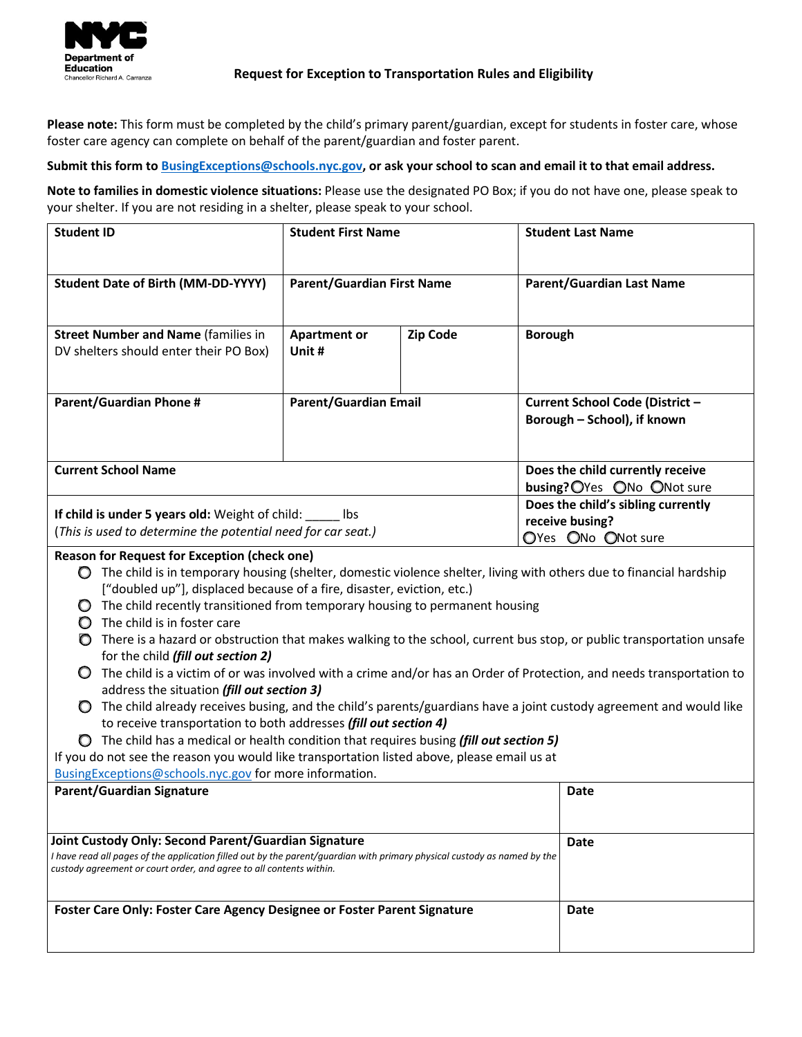

## **Request for Exception to Transportation Rules and Eligibility**

**Please note:** This form must be completed by the child's primary parent/guardian, except for students in foster care, whose foster care agency can complete on behalf of the parent/guardian and foster parent.

 **Submit this form to [BusingExceptions@schools.nyc.gov,](mailto:BusingExceptions@schools.nyc.gov) or ask your school to scan and email it to that email address.** 

**Note to families in domestic violence situations:** Please use the designated PO Box; if you do not have one, please speak to your shelter. If you are not residing in a shelter, please speak to your school.

| <b>Student ID</b>                                                                                                                                                                                                                                                                                                                                                                                                                                                                                                                                                                                                                                                                                                                                                                                                                                                                                                                                                                                                                                                                                                                                                                                                | <b>Student First Name</b>                                                   |                 | <b>Student Last Name</b>                                       |  |  |  |  |
|------------------------------------------------------------------------------------------------------------------------------------------------------------------------------------------------------------------------------------------------------------------------------------------------------------------------------------------------------------------------------------------------------------------------------------------------------------------------------------------------------------------------------------------------------------------------------------------------------------------------------------------------------------------------------------------------------------------------------------------------------------------------------------------------------------------------------------------------------------------------------------------------------------------------------------------------------------------------------------------------------------------------------------------------------------------------------------------------------------------------------------------------------------------------------------------------------------------|-----------------------------------------------------------------------------|-----------------|----------------------------------------------------------------|--|--|--|--|
| <b>Student Date of Birth (MM-DD-YYYY)</b>                                                                                                                                                                                                                                                                                                                                                                                                                                                                                                                                                                                                                                                                                                                                                                                                                                                                                                                                                                                                                                                                                                                                                                        | <b>Parent/Guardian First Name</b>                                           |                 | <b>Parent/Guardian Last Name</b>                               |  |  |  |  |
| <b>Street Number and Name (families in</b>                                                                                                                                                                                                                                                                                                                                                                                                                                                                                                                                                                                                                                                                                                                                                                                                                                                                                                                                                                                                                                                                                                                                                                       | <b>Apartment or</b>                                                         | <b>Zip Code</b> | <b>Borough</b>                                                 |  |  |  |  |
| DV shelters should enter their PO Box)                                                                                                                                                                                                                                                                                                                                                                                                                                                                                                                                                                                                                                                                                                                                                                                                                                                                                                                                                                                                                                                                                                                                                                           | Unit #                                                                      |                 |                                                                |  |  |  |  |
| <b>Parent/Guardian Phone #</b>                                                                                                                                                                                                                                                                                                                                                                                                                                                                                                                                                                                                                                                                                                                                                                                                                                                                                                                                                                                                                                                                                                                                                                                   | <b>Parent/Guardian Email</b>                                                |                 | Current School Code (District -<br>Borough - School), if known |  |  |  |  |
| <b>Current School Name</b>                                                                                                                                                                                                                                                                                                                                                                                                                                                                                                                                                                                                                                                                                                                                                                                                                                                                                                                                                                                                                                                                                                                                                                                       | Does the child currently receive<br>busing? OYes ONo ONot sure              |                 |                                                                |  |  |  |  |
| If child is under 5 years old: Weight of child: _____ lbs<br>(This is used to determine the potential need for car seat.)                                                                                                                                                                                                                                                                                                                                                                                                                                                                                                                                                                                                                                                                                                                                                                                                                                                                                                                                                                                                                                                                                        | Does the child's sibling currently<br>receive busing?<br>OYes ONo ONot sure |                 |                                                                |  |  |  |  |
| <b>Reason for Request for Exception (check one)</b><br>$\bigcirc$ The child is in temporary housing (shelter, domestic violence shelter, living with others due to financial hardship<br>["doubled up"], displaced because of a fire, disaster, eviction, etc.)<br>$\bigcirc$ The child recently transitioned from temporary housing to permanent housing<br>$\bigcirc$ The child is in foster care<br>There is a hazard or obstruction that makes walking to the school, current bus stop, or public transportation unsafe<br>for the child (fill out section 2)<br>The child is a victim of or was involved with a crime and/or has an Order of Protection, and needs transportation to<br>$\mathbf{O}$<br>address the situation (fill out section 3)<br>The child already receives busing, and the child's parents/guardians have a joint custody agreement and would like<br>$\circ$<br>to receive transportation to both addresses (fill out section 4)<br>◯ The child has a medical or health condition that requires busing (fill out section 5)<br>If you do not see the reason you would like transportation listed above, please email us at<br>BusingExceptions@schools.nyc.gov for more information. |                                                                             |                 |                                                                |  |  |  |  |
| <b>Parent/Guardian Signature</b>                                                                                                                                                                                                                                                                                                                                                                                                                                                                                                                                                                                                                                                                                                                                                                                                                                                                                                                                                                                                                                                                                                                                                                                 |                                                                             |                 | Date                                                           |  |  |  |  |
| Joint Custody Only: Second Parent/Guardian Signature<br>I have read all pages of the application filled out by the parent/guardian with primary physical custody as named by the<br>custody agreement or court order, and agree to all contents within.                                                                                                                                                                                                                                                                                                                                                                                                                                                                                                                                                                                                                                                                                                                                                                                                                                                                                                                                                          | Date                                                                        |                 |                                                                |  |  |  |  |
| Foster Care Only: Foster Care Agency Designee or Foster Parent Signature                                                                                                                                                                                                                                                                                                                                                                                                                                                                                                                                                                                                                                                                                                                                                                                                                                                                                                                                                                                                                                                                                                                                         | Date                                                                        |                 |                                                                |  |  |  |  |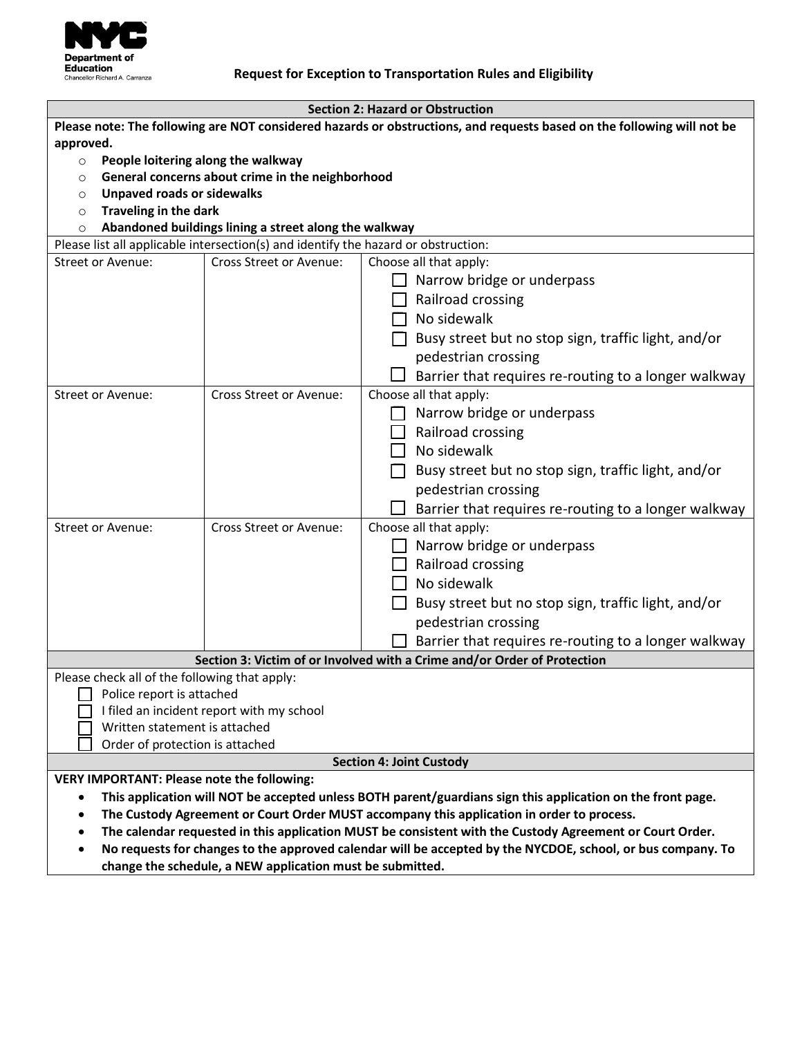

## **Request for Exception to Transportation Rules and Eligibility**

| <b>Section 2: Hazard or Obstruction</b>                                                                                  |                                                       |                                                                          |  |  |  |  |  |
|--------------------------------------------------------------------------------------------------------------------------|-------------------------------------------------------|--------------------------------------------------------------------------|--|--|--|--|--|
| Please note: The following are NOT considered hazards or obstructions, and requests based on the following will not be   |                                                       |                                                                          |  |  |  |  |  |
| approved.                                                                                                                |                                                       |                                                                          |  |  |  |  |  |
| People loitering along the walkway<br>$\circ$                                                                            |                                                       |                                                                          |  |  |  |  |  |
| O                                                                                                                        | General concerns about crime in the neighborhood      |                                                                          |  |  |  |  |  |
| <b>Unpaved roads or sidewalks</b><br>$\circ$                                                                             |                                                       |                                                                          |  |  |  |  |  |
| <b>Traveling in the dark</b><br>$\circ$                                                                                  |                                                       |                                                                          |  |  |  |  |  |
| $\circ$                                                                                                                  | Abandoned buildings lining a street along the walkway |                                                                          |  |  |  |  |  |
| Please list all applicable intersection(s) and identify the hazard or obstruction:                                       |                                                       |                                                                          |  |  |  |  |  |
| <b>Street or Avenue:</b>                                                                                                 | Cross Street or Avenue:                               | Choose all that apply:                                                   |  |  |  |  |  |
|                                                                                                                          |                                                       | Narrow bridge or underpass                                               |  |  |  |  |  |
|                                                                                                                          |                                                       | Railroad crossing                                                        |  |  |  |  |  |
|                                                                                                                          |                                                       | $\Box$ No sidewalk                                                       |  |  |  |  |  |
|                                                                                                                          |                                                       | Busy street but no stop sign, traffic light, and/or                      |  |  |  |  |  |
|                                                                                                                          |                                                       | pedestrian crossing                                                      |  |  |  |  |  |
|                                                                                                                          |                                                       | Barrier that requires re-routing to a longer walkway                     |  |  |  |  |  |
| Street or Avenue:                                                                                                        | Cross Street or Avenue:                               | Choose all that apply:                                                   |  |  |  |  |  |
|                                                                                                                          |                                                       | Narrow bridge or underpass                                               |  |  |  |  |  |
|                                                                                                                          |                                                       | $\Box$ Railroad crossing                                                 |  |  |  |  |  |
|                                                                                                                          |                                                       | No sidewalk                                                              |  |  |  |  |  |
|                                                                                                                          |                                                       | Busy street but no stop sign, traffic light, and/or                      |  |  |  |  |  |
|                                                                                                                          |                                                       | pedestrian crossing                                                      |  |  |  |  |  |
|                                                                                                                          |                                                       | Barrier that requires re-routing to a longer walkway                     |  |  |  |  |  |
| Street or Avenue:                                                                                                        | Cross Street or Avenue:                               | Choose all that apply:                                                   |  |  |  |  |  |
|                                                                                                                          |                                                       | Narrow bridge or underpass                                               |  |  |  |  |  |
|                                                                                                                          |                                                       | $\Box$ Railroad crossing                                                 |  |  |  |  |  |
|                                                                                                                          |                                                       | $\Box$ No sidewalk                                                       |  |  |  |  |  |
|                                                                                                                          |                                                       | Busy street but no stop sign, traffic light, and/or                      |  |  |  |  |  |
|                                                                                                                          |                                                       | pedestrian crossing                                                      |  |  |  |  |  |
|                                                                                                                          |                                                       | Barrier that requires re-routing to a longer walkway                     |  |  |  |  |  |
|                                                                                                                          |                                                       | Section 3: Victim of or Involved with a Crime and/or Order of Protection |  |  |  |  |  |
| Please check all of the following that apply:                                                                            |                                                       |                                                                          |  |  |  |  |  |
| Police report is attached                                                                                                |                                                       |                                                                          |  |  |  |  |  |
| I filed an incident report with my school                                                                                |                                                       |                                                                          |  |  |  |  |  |
| Written statement is attached                                                                                            |                                                       |                                                                          |  |  |  |  |  |
| Order of protection is attached                                                                                          |                                                       |                                                                          |  |  |  |  |  |
| <b>Section 4: Joint Custody</b>                                                                                          |                                                       |                                                                          |  |  |  |  |  |
| <b>VERY IMPORTANT: Please note the following:</b>                                                                        |                                                       |                                                                          |  |  |  |  |  |
| This application will NOT be accepted unless BOTH parent/guardians sign this application on the front page.<br>$\bullet$ |                                                       |                                                                          |  |  |  |  |  |
| The Custody Agreement or Court Order MUST accompany this application in order to process.<br>$\bullet$                   |                                                       |                                                                          |  |  |  |  |  |
| The calendar requested in this application MUST be consistent with the Custody Agreement or Court Order.<br>$\bullet$    |                                                       |                                                                          |  |  |  |  |  |
| No requests for changes to the approved calendar will be accepted by the NYCDOE, school, or bus company. To<br>٠         |                                                       |                                                                          |  |  |  |  |  |

**change the schedule, a NEW application must be submitted.**